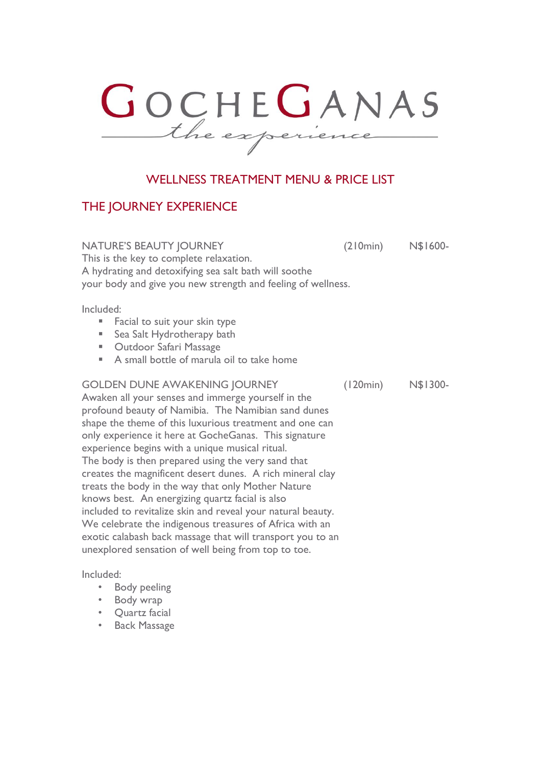

## WELLNESS TREATMENT MENU & PRICE LIST

## THE JOURNEY EXPERIENCE

NATURE'S BEAUTY JOURNEY (210min) N\$1600-This is the key to complete relaxation. A hydrating and detoxifying sea salt bath will soothe your body and give you new strength and feeling of wellness.

Included:

- **Facial to suit your skin type**
- **Sea Salt Hydrotherapy bath**
- **Outdoor Safari Massage**
- A small bottle of marula oil to take home

### GOLDEN DUNE AWAKENING JOURNEY (120min) N\$1300-

Awaken all your senses and immerge yourself in the profound beauty of Namibia. The Namibian sand dunes shape the theme of this luxurious treatment and one can only experience it here at GocheGanas. This signature experience begins with a unique musical ritual. The body is then prepared using the very sand that creates the magnificent desert dunes. A rich mineral clay treats the body in the way that only Mother Nature knows best. An energizing quartz facial is also included to revitalize skin and reveal your natural beauty. We celebrate the indigenous treasures of Africa with an exotic calabash back massage that will transport you to an unexplored sensation of well being from top to toe.

Included:

- Body peeling
- Body wrap
- Quartz facial
- Back Massage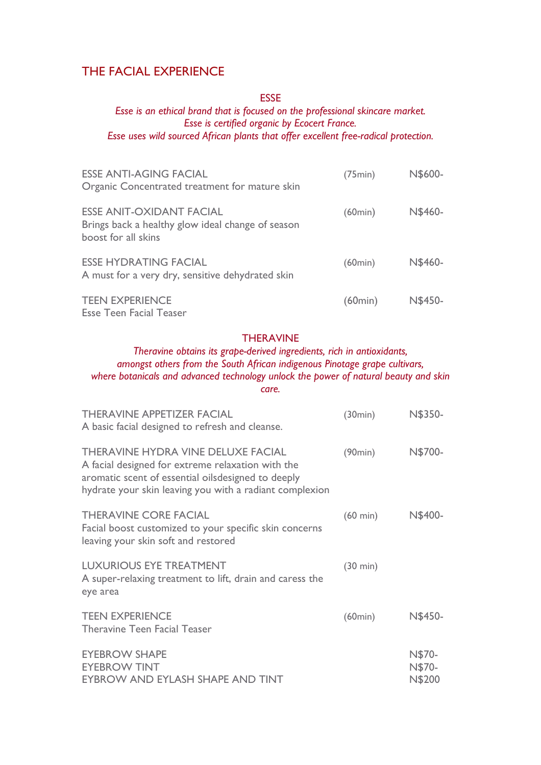## THE FACIAL EXPERIENCE

## ESSE

### *Esse is an ethical brand that is focused on the professional skincare market. Esse is certified organic by Ecocert France. Esse uses wild sourced African plants that offer excellent free-radical protection.*

| <b>ESSE ANTI-AGING FACIAL</b><br>Organic Concentrated treatment for mature skin                             | (75min) | N\$600- |
|-------------------------------------------------------------------------------------------------------------|---------|---------|
| <b>ESSE ANIT-OXIDANT FACIAL</b><br>Brings back a healthy glow ideal change of season<br>boost for all skins | (60min) | N\$460- |
| <b>ESSE HYDRATING FACIAL</b><br>A must for a very dry, sensitive dehydrated skin                            | (60min) | N\$460- |
| <b>TEEN EXPERIENCE</b><br><b>Esse Teen Facial Teaser</b>                                                    | (60min) | N\$450- |

### THERAVINE

### *Theravine obtains its grape-derived ingredients, rich in antioxidants, amongst others from the South African indigenous Pinotage grape cultivars, where botanicals and advanced technology unlock the power of natural beauty and skin care.*

| <b>THERAVINE APPETIZER FACIAL</b><br>A basic facial designed to refresh and cleanse.                                                                                                                            | (30min)            | N\$350-                    |
|-----------------------------------------------------------------------------------------------------------------------------------------------------------------------------------------------------------------|--------------------|----------------------------|
| <b>THERAVINE HYDRA VINE DELUXE FACIAL</b><br>A facial designed for extreme relaxation with the<br>aromatic scent of essential oilsdesigned to deeply<br>hydrate your skin leaving you with a radiant complexion | (90min)            | N\$700-                    |
| <b>THERAVINE CORE FACIAL</b><br>Facial boost customized to your specific skin concerns<br>leaving your skin soft and restored                                                                                   | $(60 \text{ min})$ | N\$400-                    |
| <b>LUXURIOUS EYE TREATMENT</b><br>A super-relaxing treatment to lift, drain and caress the<br>eye area                                                                                                          | $(30 \text{ min})$ |                            |
| <b>TEEN EXPERIENCE</b><br><b>Theravine Teen Facial Teaser</b>                                                                                                                                                   | (60min)            | N\$450-                    |
| <b>EYEBROW SHAPE</b><br><b>EYEBROW TINT</b><br>EYBROW AND EYLASH SHAPE AND TINT                                                                                                                                 |                    | N\$70-<br>N\$70-<br>N\$200 |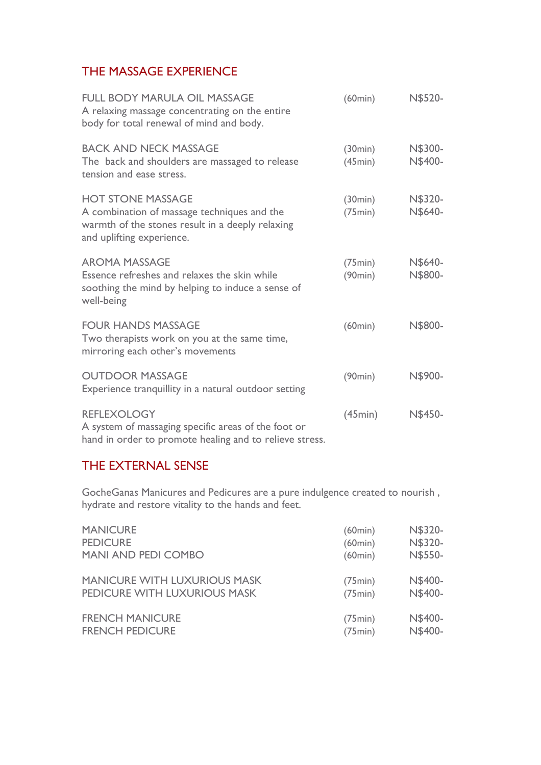# THE MASSAGE EXPERIENCE

| <b>FULL BODY MARULA OIL MASSAGE</b><br>A relaxing massage concentrating on the entire<br>body for total renewal of mind and body.                        | (60min)            | N\$520-            |
|----------------------------------------------------------------------------------------------------------------------------------------------------------|--------------------|--------------------|
| <b>BACK AND NECK MASSAGE</b><br>The back and shoulders are massaged to release<br>tension and ease stress.                                               | (30min)<br>(45min) | N\$300-<br>N\$400- |
| <b>HOT STONE MASSAGE</b><br>A combination of massage techniques and the<br>warmth of the stones result in a deeply relaxing<br>and uplifting experience. | (30min)<br>(75min) | N\$320-<br>N\$640- |
| <b>AROMA MASSAGE</b><br>Essence refreshes and relaxes the skin while<br>soothing the mind by helping to induce a sense of<br>well-being                  | (75min)<br>(90min) | N\$640-<br>N\$800- |
| <b>FOUR HANDS MASSAGE</b><br>Two therapists work on you at the same time,<br>mirroring each other's movements                                            | (60min)            | N\$800-            |
| <b>OUTDOOR MASSAGE</b><br>Experience tranquillity in a natural outdoor setting                                                                           | (90min)            | N\$900-            |
| <b>REFLEXOLOGY</b><br>A system of massaging specific areas of the foot or<br>hand in order to promote healing and to relieve stress                      | (45min)            | <b>N\$450-</b>     |

hand in order to promote healing and to relieve stress.

# THE EXTERNAL SENSE

GocheGanas Manicures and Pedicures are a pure indulgence created to nourish , hydrate and restore vitality to the hands and feet.

| <b>MANICURE</b>                     | (60min) | N\$320-        |
|-------------------------------------|---------|----------------|
| <b>PEDICURE</b>                     | (60min) | N\$320-        |
| <b>MANI AND PEDI COMBO</b>          | (60min) | <b>N\$550-</b> |
| <b>MANICURE WITH LUXURIOUS MASK</b> | (75min) | N\$400-        |
| PEDICURE WITH LUXURIOUS MASK        | (75min) | N\$400-        |
| <b>FRENCH MANICURE</b>              | (75min) | N\$400-        |
| <b>FRENCH PEDICURE</b>              | (75min) | N\$400-        |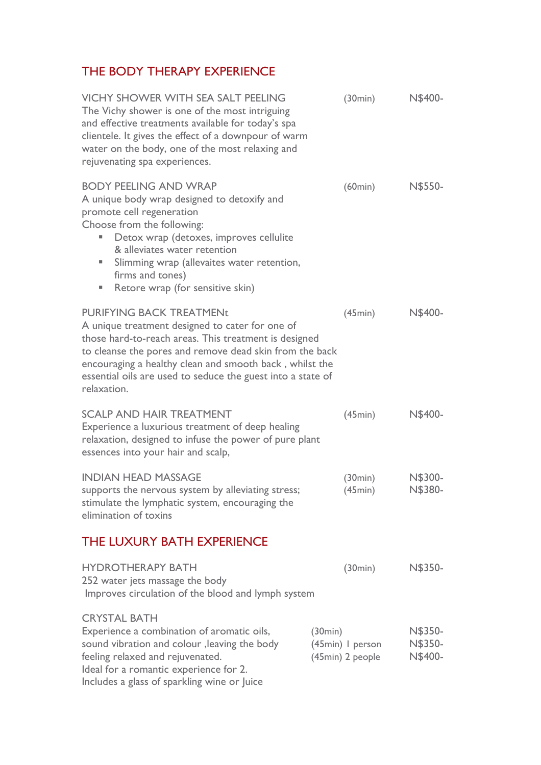# THE BODY THERAPY EXPERIENCE

| <b>VICHY SHOWER WITH SEA SALT PEELING</b><br>The Vichy shower is one of the most intriguing<br>and effective treatments available for today's spa<br>clientele. It gives the effect of a downpour of warm<br>water on the body, one of the most relaxing and<br>rejuvenating spa experiences.                                                   |         | (30min)                              | N\$400-                       |
|-------------------------------------------------------------------------------------------------------------------------------------------------------------------------------------------------------------------------------------------------------------------------------------------------------------------------------------------------|---------|--------------------------------------|-------------------------------|
| <b>BODY PEELING AND WRAP</b><br>A unique body wrap designed to detoxify and<br>promote cell regeneration<br>Choose from the following:<br>Detox wrap (detoxes, improves cellulite<br>& alleviates water retention<br>Slimming wrap (allevaites water retention,<br>ш<br>firms and tones)<br>Retore wrap (for sensitive skin)<br>ш               |         | (60min)                              | N\$550-                       |
| <b>PURIFYING BACK TREATMENt</b><br>A unique treatment designed to cater for one of<br>those hard-to-reach areas. This treatment is designed<br>to cleanse the pores and remove dead skin from the back<br>encouraging a healthy clean and smooth back, whilst the<br>essential oils are used to seduce the guest into a state of<br>relaxation. |         | (45min)                              | N\$400-                       |
| <b>SCALP AND HAIR TREATMENT</b><br>Experience a luxurious treatment of deep healing<br>relaxation, designed to infuse the power of pure plant<br>essences into your hair and scalp,                                                                                                                                                             |         | (45min)                              | N\$400-                       |
| <b>INDIAN HEAD MASSAGE</b><br>supports the nervous system by alleviating stress;<br>stimulate the lymphatic system, encouraging the<br>elimination of toxins                                                                                                                                                                                    |         | (30min)<br>(45min)                   | N\$300-<br>N\$380-            |
| THE LUXURY BATH EXPERIENCE                                                                                                                                                                                                                                                                                                                      |         |                                      |                               |
| <b>HYDROTHERAPY BATH</b><br>252 water jets massage the body<br>Improves circulation of the blood and lymph system                                                                                                                                                                                                                               |         | (30min)                              | N\$350-                       |
| <b>CRYSTAL BATH</b><br>Experience a combination of aromatic oils,<br>sound vibration and colour , leaving the body<br>feeling relaxed and rejuvenated.<br>Ideal for a romantic experience for 2.<br>Includes a glass of sparkling wine or Juice                                                                                                 | (30min) | (45min) I person<br>(45min) 2 people | N\$350-<br>N\$350-<br>N\$400- |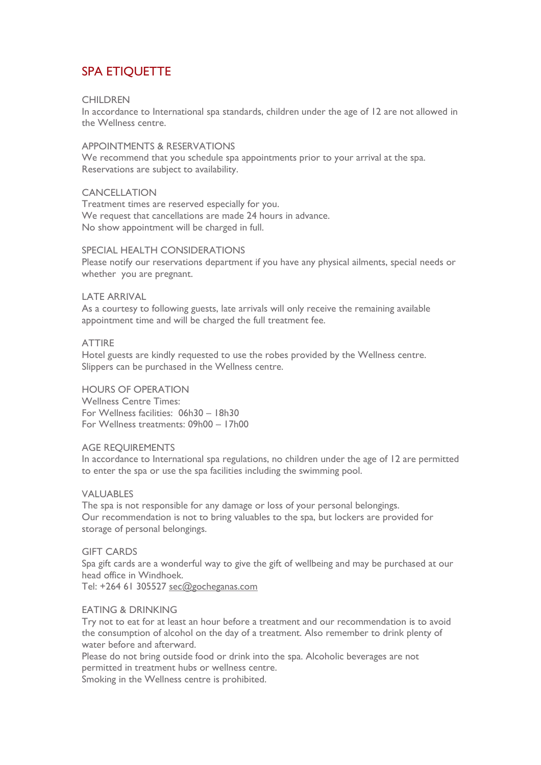## SPA ETIQUETTE

#### CHILDREN

In accordance to International spa standards, children under the age of 12 are not allowed in the Wellness centre.

APPOINTMENTS & RESERVATIONS We recommend that you schedule spa appointments prior to your arrival at the spa. Reservations are subject to availability.

#### CANCELLATION

Treatment times are reserved especially for you. We request that cancellations are made 24 hours in advance. No show appointment will be charged in full.

#### SPECIAL HEALTH CONSIDERATIONS

Please notify our reservations department if you have any physical ailments, special needs or whether you are pregnant.

### LATE ARRIVAL

As a courtesy to following guests, late arrivals will only receive the remaining available appointment time and will be charged the full treatment fee.

#### ATTIRE

Hotel guests are kindly requested to use the robes provided by the Wellness centre. Slippers can be purchased in the Wellness centre.

## HOURS OF OPERATION

Wellness Centre Times: For Wellness facilities: 06h30 – 18h30 For Wellness treatments: 09h00 – 17h00

#### AGE REQUIREMENTS

In accordance to International spa regulations, no children under the age of 12 are permitted to enter the spa or use the spa facilities including the swimming pool.

#### VALUABLES

The spa is not responsible for any damage or loss of your personal belongings. Our recommendation is not to bring valuables to the spa, but lockers are provided for storage of personal belongings.

#### GIFT CARDS

Spa gift cards are a wonderful way to give the gift of wellbeing and may be purchased at our head office in Windhoek.

Tel: +264 61 305527 [sec@gocheganas.com](mailto:sec@gocheganas.com)

#### EATING & DRINKING

Try not to eat for at least an hour before a treatment and our recommendation is to avoid the consumption of alcohol on the day of a treatment. Also remember to drink plenty of water before and afterward.

Please do not bring outside food or drink into the spa. Alcoholic beverages are not permitted in treatment hubs or wellness centre.

Smoking in the Wellness centre is prohibited.